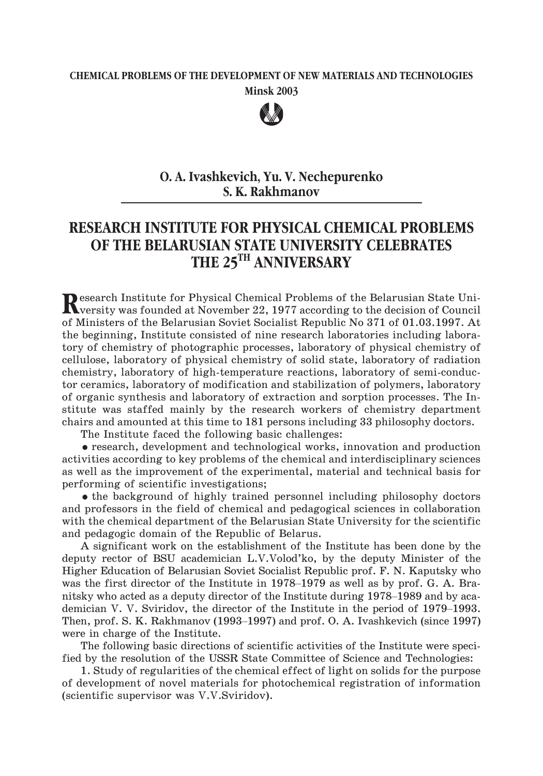## **CHEMICAL PROBLEMS OF THE DEVELOPMENT OF NEW MATERIALS AND TECHNOLOGIES Minsk 2003**



## **O. A. Ivashkevich, Yu. V. Nechepurenko S. K. Rakhmanov**

## **RESEARCH INSTITUTE FOR PHYSICAL CHEMICAL PROBLEMS OF THE BELARUSIAN STATE UNIVERSITY CELEBRATES THE 25TH ANNIVERSARY**

Research Institute for Physical Chemical Problems of the Belarusian State Uni-<br>
versity was founded at November 22, 1977 according to the decision of Council<br>
versity was founded at November 22, 1977 according to the decis of Ministers of the Belarusian Soviet Socialist Republic No 371 of 01.03.1997. At the beginning, Institute consisted of nine research laboratories including laboratory of chemistry of photographic processes, laboratory of physical chemistry of cellulose, laboratory of physical chemistry of solid state, laboratory of radiation chemistry, laboratory of high-temperature reactions, laboratory of semi-conductor ceramics, laboratory of modification and stabilization of polymers, laboratory of organic synthesis and laboratory of extraction and sorption processes. The Institute was staffed mainly by the research workers of chemistry department chairs and amounted at this time to 181 persons including 33 philosophy doctors.

The Institute faced the following basic challenges:

- research, development and technological works, innovation and production activities according to key problems of the chemical and interdisciplinary sciences as well as the improvement of the experimental, material and technical basis for performing of scientific investigations;

• the background of highly trained personnel including philosophy doctors and professors in the field of chemical and pedagogical sciences in collaboration and pedagogic domain of the Republic of Belarus.

with the chemical department of the Belarusian State University for the scientific<br>and pedagogic domain of the Republic of Belarus.<br>A significant work on the establishment of the Institute has been done by the<br>deputy recto A significant work on the establishment of the Institute has been done by the deputy rector of BSU academician L.V.Volod'ko, by the deputy Minister of the Higher Education of Belarusian Soviet Socialist Republic prof. F. N. Kaputsky who nitsky who acted as a deputy director of the Institute has been done by the deputy rector of BSU academician L.V.Volod'ko, by the deputy Minister of the Higher Education of Belarusian Soviet Socialist Republic prof. F. N. A significant work on the establishment of the Institute has been done by the deputy rector of BSU academician L.V.Volod'ko, by the deputy Minister of the Higher Education of Belarusian Soviet Socialist Republic prof. F. N deputy rector of BSU academician L.V.Volod'ko, by the deputy Minister of the Higher Education of Belarusian Soviet Socialist Republic prof. F. N. Kaputsky who was the first director of the Institute in 1978–1979 as well as were in charge of the Institute.

The following basic directions of scientific activities of the Institute were specified by the resolution of the USSR State Committee of Science and Technologies:

1. Study of regularities of the chemical effect of light on solids for the purpose of development of novel materials for photochemical registration of information (scientific supervisor was V.V.Sviridov).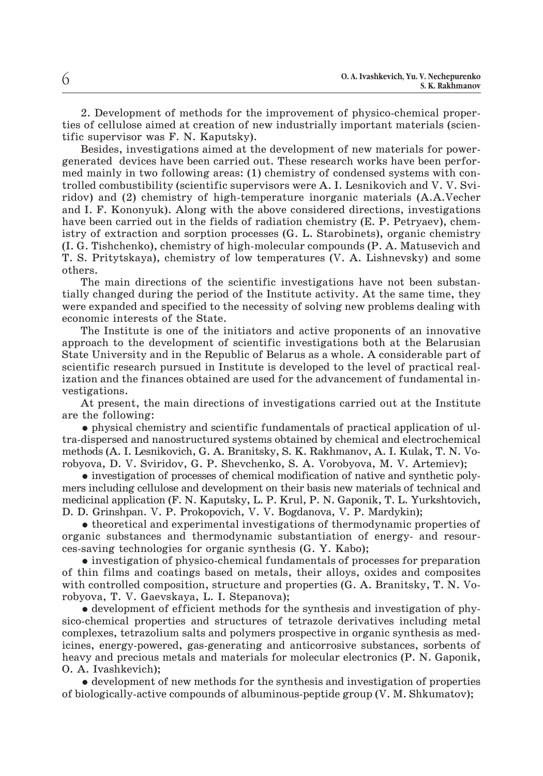2. Development of methods for the improvement of physico-chemical properties of cellulose aimed at creation of new industrially important materials (scientific supervisor was F. N. Kaputsky).

Besides, investigations aimed at the development of new materials for powergenerated devices have been carried out. These research works have been performed mainly in two following areas: (1) chemistry of condensed systems with controlled combustibility (scientific supervisors were A. I. Lesnikovich and V. V. Sviridov) and (2) chemistry of high-temperature inorganic materials (A.A.Vecher and I. F. Kononyuk). Along with the above considered directions, investigations have been carried out in the fields of radiation chemistry (E. P. Petryaev), chemistry of extraction and sorption processes (G. L. Starobinets), organic chemistry (I. G. Tishchenko), chemistry of high-molecular compounds (P. A. Matusevich and T. S. Pritytskaya), chemistry of low temperatures (V. A. Lishnevsky) and some others.

The main directions of the scientific investigations have not been substantially changed during the period of the Institute activity. At the same time, they were expanded and specified to the necessity of solving new problems dealing with economic interests of the State.

The Institute is one of the initiators and active proponents of an innovative approach to the development of scientific investigations both at the Belarusian State University and in the Republic of Belarus as a whole. A considerable part of scientific research pursued in Institute is developed to the level of practical realization and the finances obtained are used for the advancement of fundamental investigations.

At present, the main directions of investigations carried out at the Institute are the following:

- physical chemistry and scientific fundamentals of practical application of ultra-dispersed and nanostructured systems obtained by chemical and electrochemical methods (A. I. Lesnikovich, G. A. Branitsky, S. K. Rakhmanov, A. I. Kulak, T. N. Vorobyova, D. V. Sviridov, G. P. Shevchenko, S. A. Vorobyova, M. V. Artemiev);

- investigation of processes of chemical modification of native and synthetic polymers including cellulose and development on their basis new materials of technical and medicinal application (F. N. Kaputsky, L. P. Krul, P. N. Gaponik, T. L. Yurkshtovich, D. D. Grinshpan. V. P. Prokopovich, V. V. Bogdanova, V. P. Mardykin);

- theoretical and experimental investigations of thermodynamic properties of organic substances and thermodynamic substantiation of energy- and resources-saving technologies for organic synthesis (G. Y. Kabo);

- investigation of physico-chemical fundamentals of processes for preparation of thin films and coatings based on metals, their alloys, oxides and composites with controlled composition, structure and properties (G. A. Branitsky, T. N. Vorobyova, T. V. Gaevskaya, L. I. Stepanova);

- development of efficient methods for the synthesis and investigation of physico-chemical properties and structures of tetrazole derivatives including metal complexes, tetrazolium salts and polymers prospective in organic synthesis as medicines, energy-powered, gas-generating and anticorrosive substances, sorbents of heavy and precious metals and materials for molecular electronics (P. N. Gaponik, O. A. Ivashkevich);

- development of new methods for the synthesis and investigation of properties of biologically-active compounds of albuminous-peptide group (V. M. Shkumatov);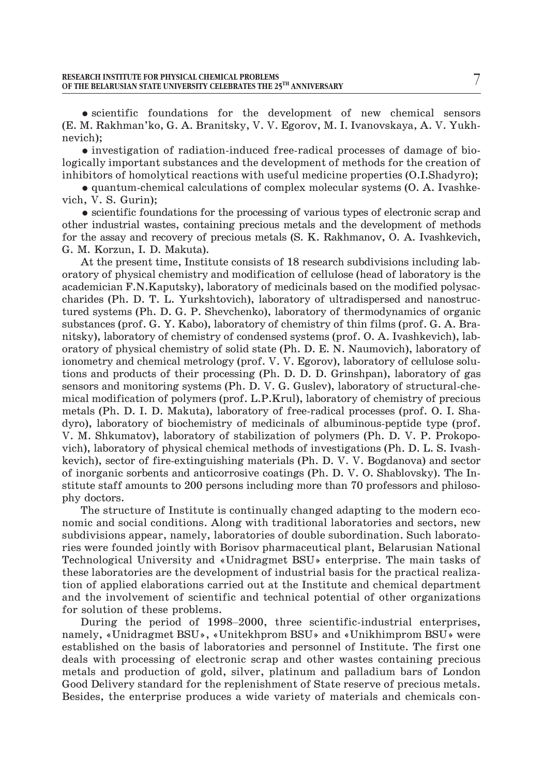- scientific foundations for the development of new chemical sensors (E. M. Rakhman'ko, G. A. Branitsky, V. V. Egorov, M. I. Ivanovskaya, A. V. Yukhnevich);

- investigation of radiation-induced free-radical processes of damage of biologically important substances and the development of methods for the creation of inhibitors of homolytical reactions with useful medicine properties (O.I.Shadyro);

- quantum-chemical calculations of complex molecular systems (O. A. Ivashkevich, V. S. Gurin);

- scientific foundations for the processing of various types of electronic scrap and other industrial wastes, containing precious metals and the development of methods for the assay and recovery of precious metals (S. K. Rakhmanov, O. A. Ivashkevich, G. M. Korzun, I. D. Makuta).

At the present time, Institute consists of 18 research subdivisions including laboratory of physical chemistry and modification of cellulose (head of laboratory is the academician F.N.Kaputsky), laboratory of medicinals based on the modified polysaccharides (Ph. D. T. L. Yurkshtovich), laboratory of ultradispersed and nanostructured systems (Ph. D. G. P. Shevchenko), laboratory of thermodynamics of organic substances (prof. G. Y. Kabo), laboratory of chemistry of thin films (prof. G. A. Branitsky), laboratory of chemistry of condensed systems (prof. O. A. Ivashkevich), laboratory of physical chemistry of solid state (Ph. D. E. N. Naumovich), laboratory of ionometry and chemical metrology (prof. V. V. Egorov), laboratory of cellulose solutions and products of their processing (Ph. D. D. D. Grinshpan), laboratory of gas sensors and monitoring systems (Ph. D. V. G. Guslev), laboratory of structural-chemical modification of polymers (prof. L.P.Krul), laboratory of chemistry of precious metals (Ph. D. I. D. Makuta), laboratory of free-radical processes (prof. O. I. Shadyro), laboratory of biochemistry of medicinals of albuminous-peptide type (prof. V. M. Shkumatov), laboratory of stabilization of polymers (Ph. D. V. P. Prokopovich), laboratory of physical chemical methods of investigations (Ph. D. L. S. Ivashkevich), sector of fire-extinguishing materials (Ph. D. V. V. Bogdanova) and sector of inorganic sorbents and anticorrosive coatings (Ph. D. V. O. Shablovsky). The Institute staff amounts to 200 persons including more than 70 professors and philosophy doctors.

The structure of Institute is continually changed adapting to the modern economic and social conditions. Along with traditional laboratories and sectors, new subdivisions appear, namely, laboratories of double subordination. Such laboratories were founded jointly with Borisov pharmaceutical plant, Belarusian National Technological University and «Unidragmet BSU» enterprise. The main tasks of these laboratories are the development of industrial basis for the practical realization of applied elaborations carried out at the Institute and these laboratories are the development of industrial basis for the practical realization of applied elaborations carried out at the Institute and chemical department and the involvement of scientific and technical potential of other organizations for solution of these problems.

namely, «Unidragmet BSU», «Unitekhprom BSU» and «Unikhimprom BSU» were established on the basis of laboratories and personnel of Institute. The first one deals with processing of electronic scrap and other wastes containing precious metals and production of gold, silver, platinum and palladium bars of London Good Delivery standard for the replenishment of State reserve of precious metals. Besides, the enterprise produces a wide variety of materials and chemicals con-